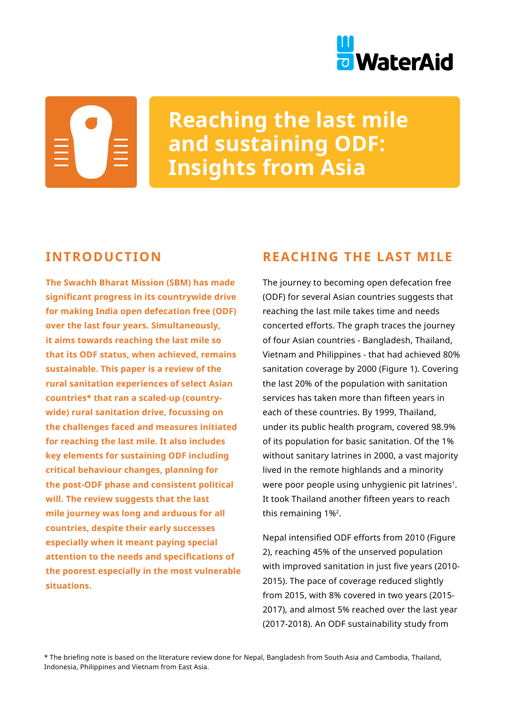

# **Reaching the last mile and sustaining ODF: Insights from Asia**

# **INTRODUCTION**

**The Swachh Bharat Mission (SBM) has made significant progress in its countrywide drive for making India open defecation free (ODF) over the last four years. Simultaneously, it aims towards reaching the last mile so that its ODF status, when achieved, remains sustainable. This paper is a review of the rural sanitation experiences of select Asian countries\* that ran a scaled-up (countrywide) rural sanitation drive, focussing on the challenges faced and measures initiated for reaching the last mile. It also includes key elements for sustaining ODF including critical behaviour changes, planning for the post-ODF phase and consistent political will. The review suggests that the last mile journey was long and arduous for all countries, despite their early successes especially when it meant paying special attention to the needs and specifications of the poorest especially in the most vulnerable situations.** 

# **REACHING THE LAST MILE**

The journey to becoming open defecation free (ODF) for several Asian countries suggests that reaching the last mile takes time and needs concerted efforts. The graph traces the journey of four Asian countries - Bangladesh, Thailand, Vietnam and Philippines - that had achieved 80% sanitation coverage by 2000 (Figure 1). Covering the last 20% of the population with sanitation services has taken more than fifteen years in each of these countries. By 1999, Thailand, under its public health program, covered 98.9% of its population for basic sanitation. Of the 1% without sanitary latrines in 2000, a vast majority lived in the remote highlands and a minority were poor people using unhygienic pit latrines<sup>1</sup>. It took Thailand another fifteen years to reach this remaining 1%2.

Nepal intensified ODF efforts from 2010 (Figure 2), reaching 45% of the unserved population with improved sanitation in just five years (2010- 2015). The pace of coverage reduced slightly from 2015, with 8% covered in two years (2015- 2017), and almost 5% reached over the last year (2017-2018). An ODF sustainability study from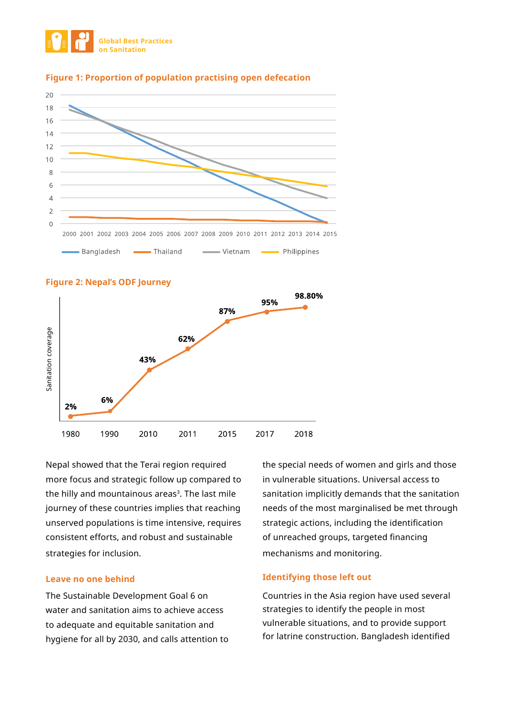



#### **Figure 1: Proportion of population practising open defecation**



**Figure 2: Nepal's ODF Journey**

Nepal showed that the Terai region required more focus and strategic follow up compared to the hilly and mountainous areas<sup>3</sup>. The last mile journey of these countries implies that reaching unserved populations is time intensive, requires consistent efforts, and robust and sustainable strategies for inclusion.

#### **Leave no one behind**

The Sustainable Development Goal 6 on water and sanitation aims to achieve access to adequate and equitable sanitation and hygiene for all by 2030, and calls attention to the special needs of women and girls and those in vulnerable situations. Universal access to sanitation implicitly demands that the sanitation needs of the most marginalised be met through strategic actions, including the identification of unreached groups, targeted financing mechanisms and monitoring.

#### **Identifying those left out**

Countries in the Asia region have used several strategies to identify the people in most vulnerable situations, and to provide support for latrine construction. Bangladesh identified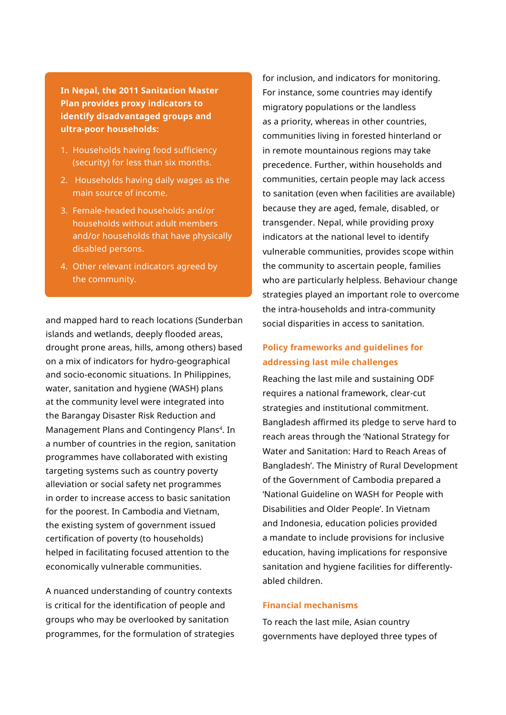**In Nepal, the 2011 Sanitation Master Plan provides proxy indicators to identify disadvantaged groups and ultra-poor households:** 

- 1. Households having food sufficiency (security) for less than six months.
- 2. Households having daily wages as the main source of income.
- 3. Female-headed households and/or households without adult members and/or households that have physically disabled persons.
- 4. Other relevant indicators agreed by the community.

and mapped hard to reach locations (Sunderban islands and wetlands, deeply flooded areas, drought prone areas, hills, among others) based on a mix of indicators for hydro-geographical and socio-economic situations. In Philippines, water, sanitation and hygiene (WASH) plans at the community level were integrated into the Barangay Disaster Risk Reduction and Management Plans and Contingency Plans<sup>4</sup>. In a number of countries in the region, sanitation programmes have collaborated with existing targeting systems such as country poverty alleviation or social safety net programmes in order to increase access to basic sanitation for the poorest. In Cambodia and Vietnam, the existing system of government issued certification of poverty (to households) helped in facilitating focused attention to the economically vulnerable communities.

A nuanced understanding of country contexts is critical for the identification of people and groups who may be overlooked by sanitation programmes, for the formulation of strategies for inclusion, and indicators for monitoring. For instance, some countries may identify migratory populations or the landless as a priority, whereas in other countries, communities living in forested hinterland or in remote mountainous regions may take precedence. Further, within households and communities, certain people may lack access to sanitation (even when facilities are available) because they are aged, female, disabled, or transgender. Nepal, while providing proxy indicators at the national level to identify vulnerable communities, provides scope within the community to ascertain people, families who are particularly helpless. Behaviour change strategies played an important role to overcome the intra-households and intra-community social disparities in access to sanitation.

# **Policy frameworks and guidelines for addressing last mile challenges**

Reaching the last mile and sustaining ODF requires a national framework, clear-cut strategies and institutional commitment. Bangladesh affirmed its pledge to serve hard to reach areas through the 'National Strategy for Water and Sanitation: Hard to Reach Areas of Bangladesh'. The Ministry of Rural Development of the Government of Cambodia prepared a 'National Guideline on WASH for People with Disabilities and Older People'. In Vietnam and Indonesia, education policies provided a mandate to include provisions for inclusive education, having implications for responsive sanitation and hygiene facilities for differentlyabled children.

### **Financial mechanisms**

To reach the last mile, Asian country governments have deployed three types of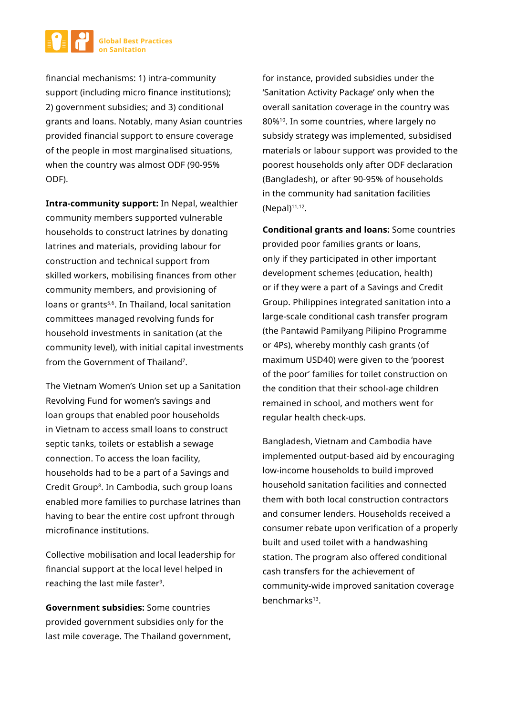

financial mechanisms: 1) intra-community support (including micro finance institutions); 2) government subsidies; and 3) conditional grants and loans. Notably, many Asian countries provided financial support to ensure coverage of the people in most marginalised situations, when the country was almost ODF (90-95% ODF).

**Intra-community support:** In Nepal, wealthier community members supported vulnerable households to construct latrines by donating latrines and materials, providing labour for construction and technical support from skilled workers, mobilising finances from other community members, and provisioning of loans or grants<sup>5,6</sup>. In Thailand, local sanitation committees managed revolving funds for household investments in sanitation (at the community level), with initial capital investments from the Government of Thailand<sup>7</sup>.

The Vietnam Women's Union set up a Sanitation Revolving Fund for women's savings and loan groups that enabled poor households in Vietnam to access small loans to construct septic tanks, toilets or establish a sewage connection. To access the loan facility, households had to be a part of a Savings and Credit Group<sup>8</sup>. In Cambodia, such group loans enabled more families to purchase latrines than having to bear the entire cost upfront through microfinance institutions.

Collective mobilisation and local leadership for financial support at the local level helped in reaching the last mile faster<sup>9</sup>.

**Government subsidies:** Some countries provided government subsidies only for the last mile coverage. The Thailand government,

for instance, provided subsidies under the 'Sanitation Activity Package' only when the overall sanitation coverage in the country was 80%10. In some countries, where largely no subsidy strategy was implemented, subsidised materials or labour support was provided to the poorest households only after ODF declaration (Bangladesh), or after 90-95% of households in the community had sanitation facilities  $(Nepal)^{11,12}$ .

**Conditional grants and loans:** Some countries provided poor families grants or loans, only if they participated in other important development schemes (education, health) or if they were a part of a Savings and Credit Group. Philippines integrated sanitation into a large-scale conditional cash transfer program (the Pantawid Pamilyang Pilipino Programme or 4Ps), whereby monthly cash grants (of maximum USD40) were given to the 'poorest of the poor' families for toilet construction on the condition that their school-age children remained in school, and mothers went for regular health check-ups.

Bangladesh, Vietnam and Cambodia have implemented output-based aid by encouraging low-income households to build improved household sanitation facilities and connected them with both local construction contractors and consumer lenders. Households received a consumer rebate upon verification of a properly built and used toilet with a handwashing station. The program also offered conditional cash transfers for the achievement of community-wide improved sanitation coverage benchmarks<sup>13</sup>.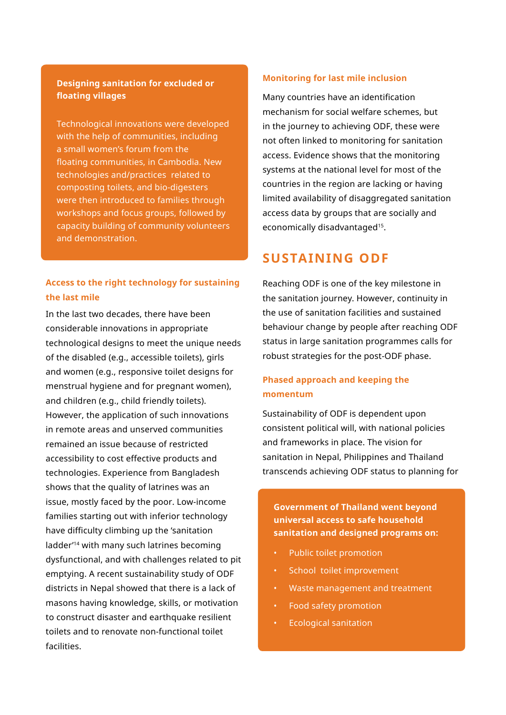# **Designing sanitation for excluded or floating villages**

Technological innovations were developed with the help of communities, including a small women's forum from the floating communities, in Cambodia. New technologies and/practices related to composting toilets, and bio-digesters were then introduced to families through workshops and focus groups, followed by capacity building of community volunteers and demonstration.

# **Access to the right technology for sustaining the last mile**

In the last two decades, there have been considerable innovations in appropriate technological designs to meet the unique needs of the disabled (e.g., accessible toilets), girls and women (e.g., responsive toilet designs for menstrual hygiene and for pregnant women), and children (e.g., child friendly toilets). However, the application of such innovations in remote areas and unserved communities remained an issue because of restricted accessibility to cost effective products and technologies. Experience from Bangladesh shows that the quality of latrines was an issue, mostly faced by the poor. Low-income families starting out with inferior technology have difficulty climbing up the 'sanitation ladder'14 with many such latrines becoming dysfunctional, and with challenges related to pit emptying. A recent sustainability study of ODF districts in Nepal showed that there is a lack of masons having knowledge, skills, or motivation to construct disaster and earthquake resilient toilets and to renovate non-functional toilet facilities.

#### **Monitoring for last mile inclusion**

Many countries have an identification mechanism for social welfare schemes, but in the journey to achieving ODF, these were not often linked to monitoring for sanitation access. Evidence shows that the monitoring systems at the national level for most of the countries in the region are lacking or having limited availability of disaggregated sanitation access data by groups that are socially and economically disadvantaged<sup>15</sup>.

# **SUSTAINING ODF**

Reaching ODF is one of the key milestone in the sanitation journey. However, continuity in the use of sanitation facilities and sustained behaviour change by people after reaching ODF status in large sanitation programmes calls for robust strategies for the post-ODF phase.

# **Phased approach and keeping the momentum**

Sustainability of ODF is dependent upon consistent political will, with national policies and frameworks in place. The vision for sanitation in Nepal, Philippines and Thailand transcends achieving ODF status to planning for

**Government of Thailand went beyond universal access to safe household sanitation and designed programs on:**

- Public toilet promotion
- School toilet improvement
- Waste management and treatment
- Food safety promotion
- Ecological sanitation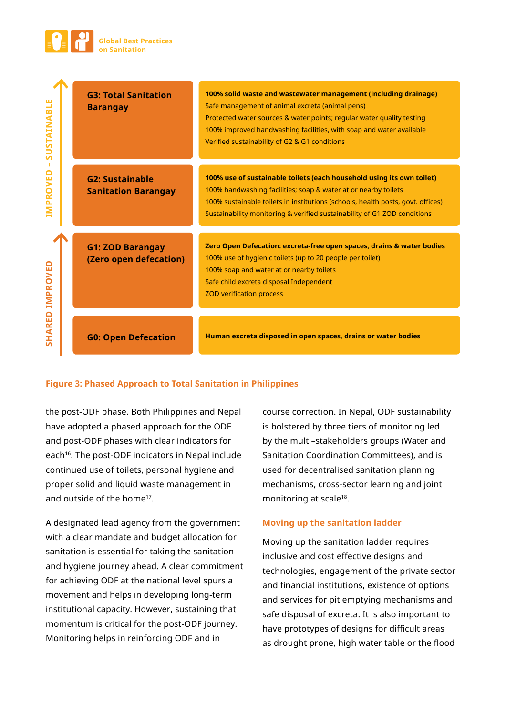

| ш<br>SUSTAINABL | <b>G3: Total Sanitation</b><br><b>Barangay</b>       | 100% solid waste and wastewater management (including drainage)<br>Safe management of animal excreta (animal pens)<br>Protected water sources & water points; regular water quality testing<br>100% improved handwashing facilities, with soap and water available<br>Verified sustainability of G2 & G1 conditions |
|-----------------|------------------------------------------------------|---------------------------------------------------------------------------------------------------------------------------------------------------------------------------------------------------------------------------------------------------------------------------------------------------------------------|
| п<br>IMPROVED   | <b>G2: Sustainable</b><br><b>Sanitation Barangay</b> | 100% use of sustainable toilets (each household using its own toilet)<br>100% handwashing facilities; soap & water at or nearby toilets<br>100% sustainable toilets in institutions (schools, health posts, govt. offices)<br>Sustainability monitoring & verified sustainability of G1 ZOD conditions              |
| <b>IMPROVED</b> | <b>G1: ZOD Barangay</b><br>(Zero open defecation)    | Zero Open Defecation: excreta-free open spaces, drains & water bodies<br>100% use of hygienic toilets (up to 20 people per toilet)<br>100% soap and water at or nearby toilets<br>Safe child excreta disposal Independent<br><b>ZOD verification process</b>                                                        |
| <b>SHARED</b>   | <b>G0: Open Defecation</b>                           | Human excreta disposed in open spaces, drains or water bodies                                                                                                                                                                                                                                                       |

## **Figure 3: Phased Approach to Total Sanitation in Philippines**

the post-ODF phase. Both Philippines and Nepal have adopted a phased approach for the ODF and post-ODF phases with clear indicators for each<sup>16</sup>. The post-ODF indicators in Nepal include continued use of toilets, personal hygiene and proper solid and liquid waste management in and outside of the home17.

A designated lead agency from the government with a clear mandate and budget allocation for sanitation is essential for taking the sanitation and hygiene journey ahead. A clear commitment for achieving ODF at the national level spurs a movement and helps in developing long-term institutional capacity. However, sustaining that momentum is critical for the post-ODF journey. Monitoring helps in reinforcing ODF and in

course correction. In Nepal, ODF sustainability is bolstered by three tiers of monitoring led by the multi–stakeholders groups (Water and Sanitation Coordination Committees), and is used for decentralised sanitation planning mechanisms, cross-sector learning and joint monitoring at scale<sup>18</sup>.

#### **Moving up the sanitation ladder**

Moving up the sanitation ladder requires inclusive and cost effective designs and technologies, engagement of the private sector and financial institutions, existence of options and services for pit emptying mechanisms and safe disposal of excreta. It is also important to have prototypes of designs for difficult areas as drought prone, high water table or the flood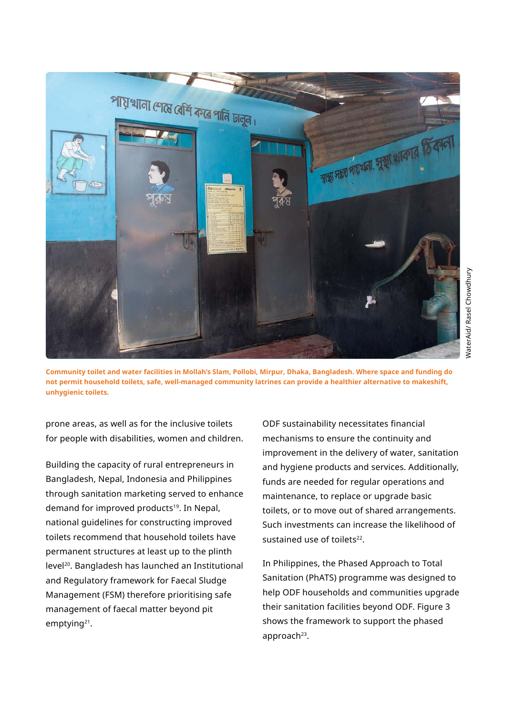

WaterAid/ Rasel Chowdhury

NaterAid/ Rasel Chowdhury

**Community toilet and water facilities in Mollah's Slam, Pollobi, Mirpur, Dhaka, Bangladesh. Where space and funding do not permit household toilets, safe, well-managed community latrines can provide a healthier alternative to makeshift, unhygienic toilets.**

prone areas, as well as for the inclusive toilets for people with disabilities, women and children.

Building the capacity of rural entrepreneurs in Bangladesh, Nepal, Indonesia and Philippines through sanitation marketing served to enhance demand for improved products<sup>19</sup>. In Nepal, national guidelines for constructing improved toilets recommend that household toilets have permanent structures at least up to the plinth level20. Bangladesh has launched an Institutional and Regulatory framework for Faecal Sludge Management (FSM) therefore prioritising safe management of faecal matter beyond pit emptying<sup>21</sup>.

ODF sustainability necessitates financial mechanisms to ensure the continuity and improvement in the delivery of water, sanitation and hygiene products and services. Additionally, funds are needed for regular operations and maintenance, to replace or upgrade basic toilets, or to move out of shared arrangements. Such investments can increase the likelihood of sustained use of toilets<sup>22</sup>.

In Philippines, the Phased Approach to Total Sanitation (PhATS) programme was designed to help ODF households and communities upgrade their sanitation facilities beyond ODF. Figure 3 shows the framework to support the phased approach<sup>23</sup>.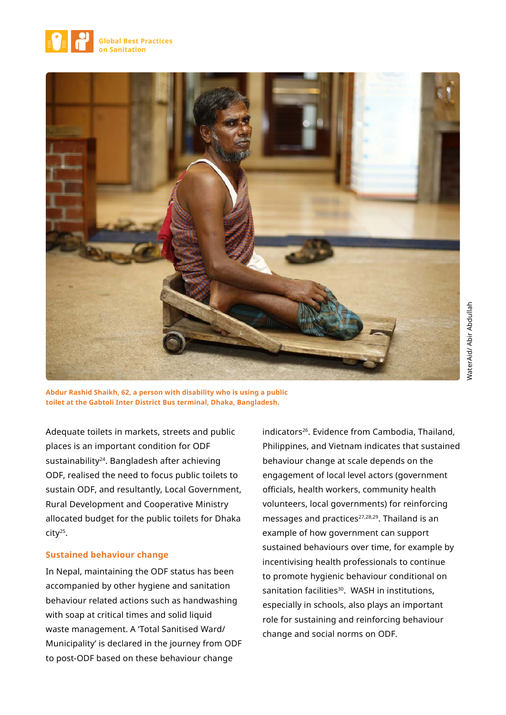



**Abdur Rashid Shaikh, 62, a person with disability who is using a public toilet at the Gabtoli Inter District Bus terminal, Dhaka, Bangladesh.** 

Adequate toilets in markets, streets and public places is an important condition for ODF sustainability<sup>24</sup>. Bangladesh after achieving ODF, realised the need to focus public toilets to sustain ODF, and resultantly, Local Government, Rural Development and Cooperative Ministry allocated budget for the public toilets for Dhaka city25.

#### **Sustained behaviour change**

In Nepal, maintaining the ODF status has been accompanied by other hygiene and sanitation behaviour related actions such as handwashing with soap at critical times and solid liquid waste management. A 'Total Sanitised Ward/ Municipality' is declared in the journey from ODF to post-ODF based on these behaviour change

indicators<sup>26</sup>. Evidence from Cambodia, Thailand, Philippines, and Vietnam indicates that sustained behaviour change at scale depends on the engagement of local level actors (government officials, health workers, community health volunteers, local governments) for reinforcing messages and practices<sup>27,28,29</sup>. Thailand is an example of how government can support sustained behaviours over time, for example by incentivising health professionals to continue to promote hygienic behaviour conditional on sanitation facilities<sup>30</sup>. WASH in institutions, especially in schools, also plays an important role for sustaining and reinforcing behaviour change and social norms on ODF.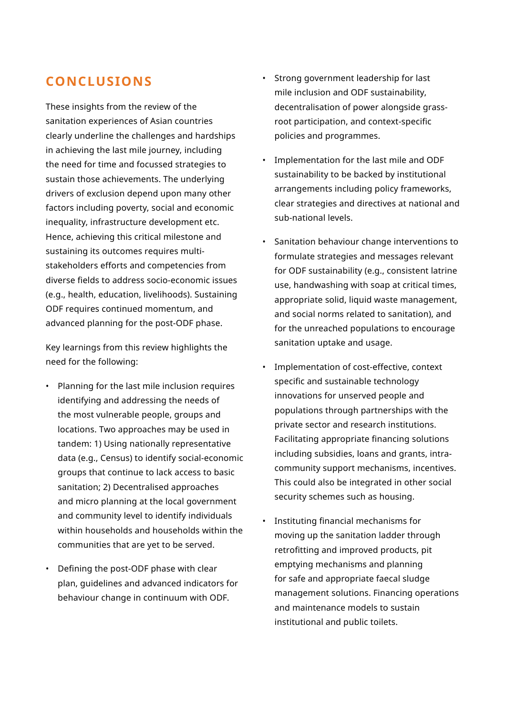# **CONCLUSIONS**

These insights from the review of the sanitation experiences of Asian countries clearly underline the challenges and hardships in achieving the last mile journey, including the need for time and focussed strategies to sustain those achievements. The underlying drivers of exclusion depend upon many other factors including poverty, social and economic inequality, infrastructure development etc. Hence, achieving this critical milestone and sustaining its outcomes requires multistakeholders efforts and competencies from diverse fields to address socio-economic issues (e.g., health, education, livelihoods). Sustaining ODF requires continued momentum, and advanced planning for the post-ODF phase.

Key learnings from this review highlights the need for the following:

- Planning for the last mile inclusion requires identifying and addressing the needs of the most vulnerable people, groups and locations. Two approaches may be used in tandem: 1) Using nationally representative data (e.g., Census) to identify social-economic groups that continue to lack access to basic sanitation; 2) Decentralised approaches and micro planning at the local government and community level to identify individuals within households and households within the communities that are yet to be served.
- Defining the post-ODF phase with clear plan, guidelines and advanced indicators for behaviour change in continuum with ODF.
- Strong government leadership for last mile inclusion and ODF sustainability, decentralisation of power alongside grassroot participation, and context-specific policies and programmes.
- Implementation for the last mile and ODF sustainability to be backed by institutional arrangements including policy frameworks, clear strategies and directives at national and sub-national levels.
- Sanitation behaviour change interventions to formulate strategies and messages relevant for ODF sustainability (e.g., consistent latrine use, handwashing with soap at critical times, appropriate solid, liquid waste management, and social norms related to sanitation), and for the unreached populations to encourage sanitation uptake and usage.
- Implementation of cost-effective, context specific and sustainable technology innovations for unserved people and populations through partnerships with the private sector and research institutions. Facilitating appropriate financing solutions including subsidies, loans and grants, intracommunity support mechanisms, incentives. This could also be integrated in other social security schemes such as housing.
- Instituting financial mechanisms for moving up the sanitation ladder through retrofitting and improved products, pit emptying mechanisms and planning for safe and appropriate faecal sludge management solutions. Financing operations and maintenance models to sustain institutional and public toilets.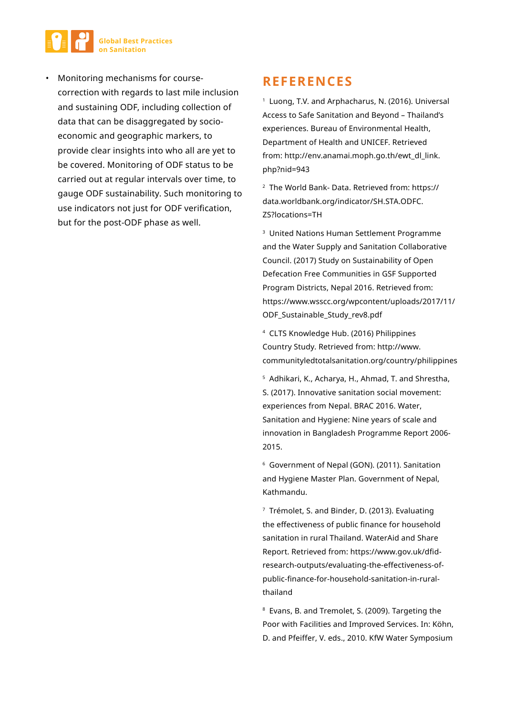

• Monitoring mechanisms for coursecorrection with regards to last mile inclusion and sustaining ODF, including collection of data that can be disaggregated by socioeconomic and geographic markers, to provide clear insights into who all are yet to be covered. Monitoring of ODF status to be carried out at regular intervals over time, to gauge ODF sustainability. Such monitoring to use indicators not just for ODF verification, but for the post-ODF phase as well.

# **REFERENCES**

<sup>1</sup> Luong, T.V. and Arphacharus, N. (2016). Universal Access to Safe Sanitation and Beyond – Thailand's experiences. Bureau of Environmental Health, Department of Health and UNICEF. Retrieved from: http://env.anamai.moph.go.th/ewt\_dl\_link. php?nid=943

<sup>2</sup> The World Bank- Data. Retrieved from: https:// data.worldbank.org/indicator/SH.STA.ODFC. ZS?locations=TH

<sup>3</sup> United Nations Human Settlement Programme and the Water Supply and Sanitation Collaborative Council. (2017) Study on Sustainability of Open Defecation Free Communities in GSF Supported Program Districts, Nepal 2016. Retrieved from: https://www.wsscc.org/wpcontent/uploads/2017/11/ ODF\_Sustainable\_Study\_rev8.pdf

<sup>4</sup> CLTS Knowledge Hub. (2016) Philippines Country Study. Retrieved from: http://www. communityledtotalsanitation.org/country/philippines

<sup>5</sup> Adhikari, K., Acharya, H., Ahmad, T. and Shrestha, S. (2017). Innovative sanitation social movement: experiences from Nepal. BRAC 2016. Water, Sanitation and Hygiene: Nine years of scale and innovation in Bangladesh Programme Report 2006- 2015.

6 Government of Nepal (GON). (2011). Sanitation and Hygiene Master Plan. Government of Nepal, Kathmandu.

<sup>7</sup> Trémolet, S. and Binder, D. (2013). Evaluating the effectiveness of public finance for household sanitation in rural Thailand. WaterAid and Share Report. Retrieved from: https://www.gov.uk/dfidresearch-outputs/evaluating-the-effectiveness-ofpublic-finance-for-household-sanitation-in-ruralthailand

<sup>8</sup> Evans, B. and Tremolet, S. (2009). Targeting the Poor with Facilities and Improved Services. In: Kӧhn, D. and Pfeiffer, V. eds., 2010. KfW Water Symposium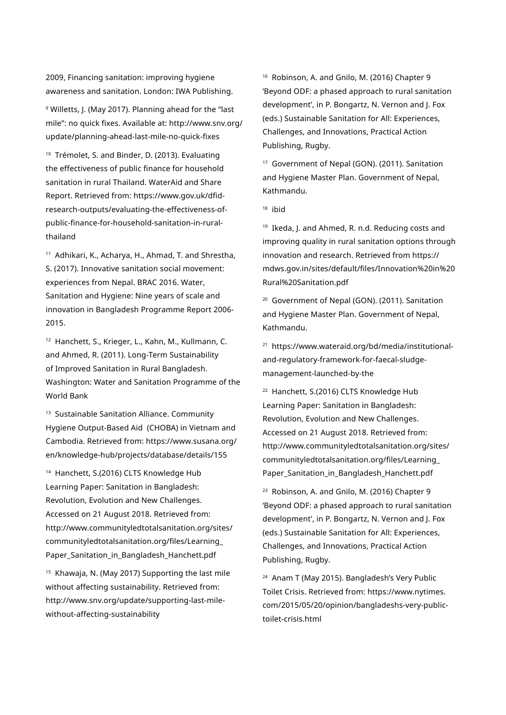2009, Financing sanitation: improving hygiene awareness and sanitation. London: IWA Publishing.

9 Willetts, J. (May 2017). Planning ahead for the "last mile": no quick fixes. Available at: http://www.snv.org/ update/planning-ahead-last-mile-no-quick-fixes

<sup>10</sup> Trémolet, S. and Binder, D. (2013). Evaluating the effectiveness of public finance for household sanitation in rural Thailand. WaterAid and Share Report. Retrieved from: https://www.gov.uk/dfidresearch-outputs/evaluating-the-effectiveness-ofpublic-finance-for-household-sanitation-in-ruralthailand

<sup>11</sup> Adhikari, K., Acharya, H., Ahmad, T. and Shrestha, S. (2017). Innovative sanitation social movement: experiences from Nepal. BRAC 2016. Water, Sanitation and Hygiene: Nine years of scale and innovation in Bangladesh Programme Report 2006- 2015.

<sup>12</sup> Hanchett, S., Krieger, L., Kahn, M., Kullmann, C. and Ahmed, R. (2011). Long-Term Sustainability of Improved Sanitation in Rural Bangladesh. Washington: Water and Sanitation Programme of the World Bank

<sup>13</sup> Sustainable Sanitation Alliance. Community Hygiene Output-Based Aid (CHOBA) in Vietnam and Cambodia. Retrieved from: https://www.susana.org/ en/knowledge-hub/projects/database/details/155

<sup>14</sup> Hanchett, S.(2016) CLTS Knowledge Hub Learning Paper: Sanitation in Bangladesh: Revolution, Evolution and New Challenges. Accessed on 21 August 2018. Retrieved from: http://www.communityledtotalsanitation.org/sites/ communityledtotalsanitation.org/files/Learning\_ Paper Sanitation in Bangladesh Hanchett.pdf

<sup>15</sup> Khawaja, N. (May 2017) Supporting the last mile without affecting sustainability. Retrieved from: http://www.snv.org/update/supporting-last-milewithout-affecting-sustainability

16 Robinson, A. and Gnilo, M. (2016) Chapter 9 'Beyond ODF: a phased approach to rural sanitation development', in P. Bongartz, N. Vernon and J. Fox (eds.) Sustainable Sanitation for All: Experiences, Challenges, and Innovations, Practical Action Publishing, Rugby.

<sup>17</sup> Government of Nepal (GON). (2011). Sanitation and Hygiene Master Plan. Government of Nepal, Kathmandu.

18 ibid

19 Ikeda, J. and Ahmed, R. n.d. Reducing costs and improving quality in rural sanitation options through innovation and research. Retrieved from https:// mdws.gov.in/sites/default/files/Innovation%20in%20 Rural%20Sanitation.pdf

<sup>20</sup> Government of Nepal (GON). (2011). Sanitation and Hygiene Master Plan. Government of Nepal, Kathmandu.

21 https://www.wateraid.org/bd/media/institutionaland-regulatory-framework-for-faecal-sludgemanagement-launched-by-the

<sup>22</sup> Hanchett, S.(2016) CLTS Knowledge Hub Learning Paper: Sanitation in Bangladesh: Revolution, Evolution and New Challenges. Accessed on 21 August 2018. Retrieved from: http://www.communityledtotalsanitation.org/sites/ communityledtotalsanitation.org/files/Learning\_ Paper\_Sanitation\_in\_Bangladesh\_Hanchett.pdf

<sup>23</sup> Robinson, A. and Gnilo, M. (2016) Chapter 9 'Beyond ODF: a phased approach to rural sanitation development', in P. Bongartz, N. Vernon and J. Fox (eds.) Sustainable Sanitation for All: Experiences, Challenges, and Innovations, Practical Action Publishing, Rugby.

24 Anam T (May 2015). Bangladesh's Very Public Toilet Crisis. Retrieved from: https://www.nytimes. com/2015/05/20/opinion/bangladeshs-very-publictoilet-crisis.html